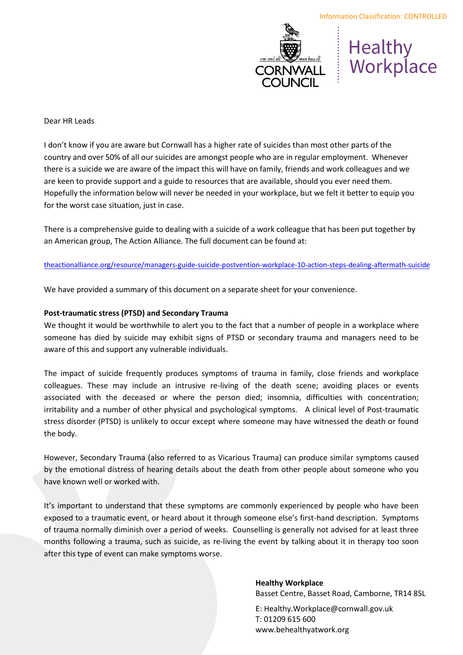

# Healthy<br>
CORNWALL | Workplace

## Dear HR Leads

I don't know if you are aware but Cornwall has a higher rate of suicides than most other parts of the country and over 50% of all our suicides are amongst people who are in regular employment. Whenever there is a suicide we are aware of the impact this will have on family, friends and work colleagues and we are keen to provide support and a guide to resources that are available, should you ever need them. Hopefully the information below will never be needed in your workplace, but we felt it better to equip you for the worst case situation, just in case.

There is a comprehensive guide to dealing with a suicide of a work colleague that has been put together by an American group, The Action Alliance. The full document can be found at:

[theactionalliance.org/resource/managers-guide-suicide-postvention-workplace-10-action-steps-dealing-afterm](https://theactionalliance.org/resource/managers-guide-suicide-postvention-workplace-10-action-steps-dealing-aftermath-suicide)ath-suicide

We have provided a summary of this document on a separate sheet for your convenience.

## **Post-traumatic stress (PTSD) and Secondary Trauma**

We thought it would be worthwhile to alert you to the fact that a number of people in a workplace where someone has died by suicide may exhibit signs of PTSD or secondary trauma and managers need to be aware of this and support any vulnerable individuals.

The impact of suicide frequently produces symptoms of trauma in family, close friends and workplace colleagues. These may include an intrusive re-living of the death scene; avoiding places or events associated with the deceased or where the person died; insomnia, difficulties with concentration; irritability and a number of other physical and psychological symptoms. A clinical level of Post-traumatic stress disorder (PTSD) is unlikely to occur except where someone may have witnessed the death or found the body.

However, Secondary Trauma (also referred to as Vicarious Trauma) can produce similar symptoms caused by the emotional distress of hearing details about the death from other people about someone who you have known well or worked with.

It's important to understand that these symptoms are commonly experienced by people who have been exposed to a traumatic event, or heard about it through someone else's first-hand description. Symptoms of trauma normally diminish over a period of weeks. Counselling is generally not advised for at least three months following a trauma, such as suicide, as re-living the event by talking about it in therapy too soon after this type of event can make symptoms worse.

## **Healthy Workplace**

Basset Centre, Basset Road, Camborne, TR14 8SL

E: Healthy.Workplace@cornwall.gov.uk T: 01209 615 600 www.behealthyatwork.org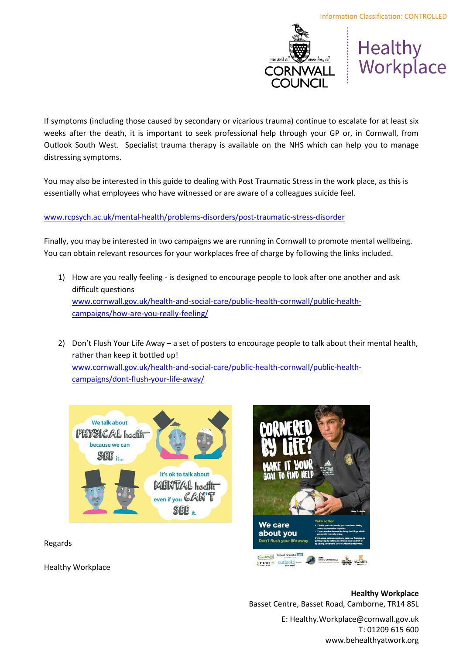

Healthy Workplace

If symptoms (including those caused by secondary or vicarious trauma) continue to escalate for at least six weeks after the death, it is important to seek professional help through your GP or, in Cornwall, from Outlook South West. Specialist trauma therapy is available on the NHS which can help you to manage distressing symptoms.

You may also be interested in this guide to dealing with Post Traumatic Stress in the work place, as this is essentially what employees who have witnessed or are aware of a colleagues suicide feel.

## [www.rcpsych.ac.uk/mental-health/problems-disorders/post-traumatic-stress-disorder](http://www.rcpsych.ac.uk/mental-health/problems-disorders/post-traumatic-stress-disorder)

Finally, you may be interested in two campaigns we are running in Cornwall to promote mental wellbeing. You can obtain relevant resources for your workplaces free of charge by following the links included.

- 1) How are you really feeling is designed to encourage people to look after one another and ask difficult questions [www.cornwall.gov.uk/health-and-social-care/public-health-cornwall/public-health](http://www.cornwall.gov.uk/health-and-social-care/public-health-cornwall/public-health-campaigns/how-are-you-really-feeling/)[campaigns/how-are-you-really-feeling/](http://www.cornwall.gov.uk/health-and-social-care/public-health-cornwall/public-health-campaigns/how-are-you-really-feeling/)
- 2) Don't Flush Your Life Away a set of posters to encourage people to talk about their mental health, rather than keep it bottled up! [www.cornwall.gov.uk/health-and-social-care/public-health-cornwall/public-health](http://www.cornwall.gov.uk/health-and-social-care/public-health-cornwall/public-health-campaigns/dont-flush-your-life-away/)[campaigns/dont-flush-your-life-away/](http://www.cornwall.gov.uk/health-and-social-care/public-health-cornwall/public-health-campaigns/dont-flush-your-life-away/)





Regards

Healthy Workplace

## **Healthy Workplace**  Basset Centre, Basset Road, Camborne, TR14 8SL

E: Healthy.Workplace@cornwall.gov.uk T: 01209 615 600 www.behealthyatwork.org